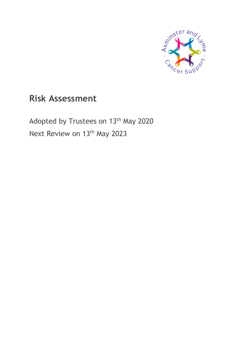

# **Risk Assessment**

Adopted by Trustees on 13<sup>th</sup> May 2020 Next Review on 13<sup>th</sup> May 2023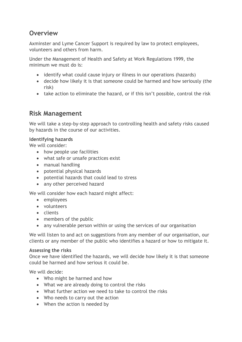### **Overview**

Axminster and Lyme Cancer Support is required by law to protect employees, volunteers and others from harm.

Under the Management of Health and Safety at Work Regulations 1999, the minimum we must do is:

- identify what could cause injury or illness in our operations (hazards)
- decide how likely it is that someone could be harmed and how seriously (the risk)
- take action to eliminate the hazard, or if this isn't possible, control the risk

### **Risk Management**

We will take a step-by-step approach to controlling health and safety risks caused by hazards in the course of our activities.

#### **Identifying hazards**

We will consider:

- how people use facilities
- what safe or unsafe practices exist
- manual handling
- potential physical hazards
- potential hazards that could lead to stress
- any other perceived hazard

We will consider how each hazard might affect:

- employees
- volunteers
- clients
- members of the public
- any vulnerable person within or using the services of our organisation

We will listen to and act on suggestions from any member of our organisation, our clients or any member of the public who identifies a hazard or how to mitigate it.

#### **Assessing the risks**

Once we have identified the hazards, we will decide how likely it is that someone could be harmed and how serious it could be.

We will decide:

- Who might be harmed and how
- What we are already doing to control the risks
- What further action we need to take to control the risks
- Who needs to carry out the action
- When the action is needed by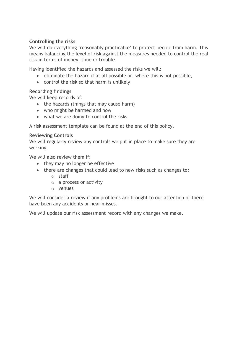#### **Controlling the risks**

We will do everything 'reasonably practicable' to protect people from harm. This means balancing the level of risk against the measures needed to control the real risk in terms of money, time or trouble.

Having identified the hazards and assessed the risks we will:

- eliminate the hazard if at all possible or, where this is not possible,
- control the risk so that harm is unlikely

#### **Recording findings**

We will keep records of:

- the hazards (things that may cause harm)
- who might be harmed and how
- what we are doing to control the risks

A risk assessment template can be found at the end of this policy.

#### **Reviewing Controls**

We will regularly review any controls we put in place to make sure they are working.

We will also review them if:

- they may no longer be effective
- there are changes that could lead to new risks such as changes to:
	- o staff
	- o a process or activity
	- o venues

We will consider a review if any problems are brought to our attention or there have been any accidents or near misses.

We will update our risk assessment record with any changes we make.